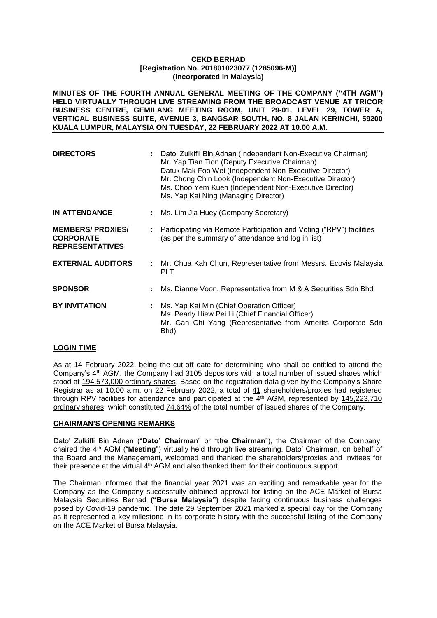**MINUTES OF THE FOURTH ANNUAL GENERAL MEETING OF THE COMPANY (''4TH AGM") HELD VIRTUALLY THROUGH LIVE STREAMING FROM THE BROADCAST VENUE AT TRICOR BUSINESS CENTRE, GEMILANG MEETING ROOM, UNIT 29-01, LEVEL 29, TOWER A, VERTICAL BUSINESS SUITE, AVENUE 3, BANGSAR SOUTH, NO. 8 JALAN KERINCHI, 59200 KUALA LUMPUR, MALAYSIA ON TUESDAY, 22 FEBRUARY 2022 AT 10.00 A.M.**

| <b>DIRECTORS</b>                                                      | Dato' Zulkifli Bin Adnan (Independent Non-Executive Chairman)<br>Mr. Yap Tian Tion (Deputy Executive Chairman)<br>Datuk Mak Foo Wei (Independent Non-Executive Director)<br>Mr. Chong Chin Look (Independent Non-Executive Director)<br>Ms. Choo Yem Kuen (Independent Non-Executive Director)<br>Ms. Yap Kai Ning (Managing Director) |  |
|-----------------------------------------------------------------------|----------------------------------------------------------------------------------------------------------------------------------------------------------------------------------------------------------------------------------------------------------------------------------------------------------------------------------------|--|
| <b>IN ATTENDANCE</b>                                                  | Ms. Lim Jia Huey (Company Secretary)                                                                                                                                                                                                                                                                                                   |  |
| <b>MEMBERS/PROXIES/</b><br><b>CORPORATE</b><br><b>REPRESENTATIVES</b> | Participating via Remote Participation and Voting ("RPV") facilities<br>(as per the summary of attendance and log in list)                                                                                                                                                                                                             |  |
| <b>EXTERNAL AUDITORS</b>                                              | : Mr. Chua Kah Chun, Representative from Messrs. Ecovis Malaysia<br><b>PLT</b>                                                                                                                                                                                                                                                         |  |
| <b>SPONSOR</b>                                                        | Ms. Dianne Voon, Representative from M & A Securities Sdn Bhd                                                                                                                                                                                                                                                                          |  |
| <b>BY INVITATION</b>                                                  | Ms. Yap Kai Min (Chief Operation Officer)<br>Ms. Pearly Hiew Pei Li (Chief Financial Officer)<br>Mr. Gan Chi Yang (Representative from Amerits Corporate Sdn<br>Bhd)                                                                                                                                                                   |  |

# **LOGIN TIME**

As at 14 February 2022, being the cut-off date for determining who shall be entitled to attend the Company's 4<sup>th</sup> AGM, the Company had 3105 depositors with a total number of issued shares which stood at 194,573,000 ordinary shares. Based on the registration data given by the Company's Share Registrar as at 10.00 a.m. on 22 February 2022, a total of 41 shareholders/proxies had registered through RPV facilities for attendance and participated at the  $4<sup>th</sup>$  AGM, represented by 145,223,710 ordinary shares, which constituted 74.64% of the total number of issued shares of the Company.

# **CHAIRMAN'S OPENING REMARKS**

Dato' Zulkifli Bin Adnan ("**Dato' Chairman**" or "**the Chairman**"), the Chairman of the Company, chaired the 4<sup>th</sup> AGM ("**Meeting**") virtually held through live streaming. Dato' Chairman, on behalf of the Board and the Management, welcomed and thanked the shareholders/proxies and invitees for their presence at the virtual 4<sup>th</sup> AGM and also thanked them for their continuous support.

The Chairman informed that the financial year 2021 was an exciting and remarkable year for the Company as the Company successfully obtained approval for listing on the ACE Market of Bursa Malaysia Securities Berhad **("Bursa Malaysia")** despite facing continuous business challenges posed by Covid-19 pandemic. The date 29 September 2021 marked a special day for the Company as it represented a key milestone in its corporate history with the successful listing of the Company on the ACE Market of Bursa Malaysia.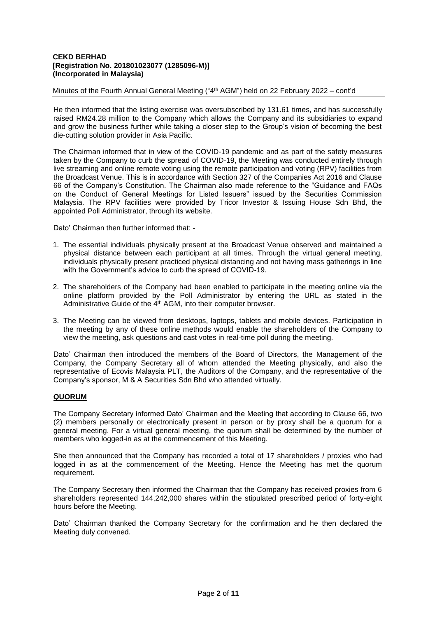Minutes of the Fourth Annual General Meeting ("4th AGM") held on 22 February 2022 – cont'd

He then informed that the listing exercise was oversubscribed by 131.61 times, and has successfully raised RM24.28 million to the Company which allows the Company and its subsidiaries to expand and grow the business further while taking a closer step to the Group's vision of becoming the best die-cutting solution provider in Asia Pacific.

The Chairman informed that in view of the COVID-19 pandemic and as part of the safety measures taken by the Company to curb the spread of COVID-19, the Meeting was conducted entirely through live streaming and online remote voting using the remote participation and voting (RPV) facilities from the Broadcast Venue. This is in accordance with Section 327 of the Companies Act 2016 and Clause 66 of the Company's Constitution. The Chairman also made reference to the "Guidance and FAQs on the Conduct of General Meetings for Listed Issuers" issued by the Securities Commission Malaysia. The RPV facilities were provided by Tricor Investor & Issuing House Sdn Bhd, the appointed Poll Administrator, through its website.

Dato' Chairman then further informed that: -

- 1. The essential individuals physically present at the Broadcast Venue observed and maintained a physical distance between each participant at all times. Through the virtual general meeting, individuals physically present practiced physical distancing and not having mass gatherings in line with the Government's advice to curb the spread of COVID-19.
- 2. The shareholders of the Company had been enabled to participate in the meeting online via the online platform provided by the Poll Administrator by entering the URL as stated in the Administrative Guide of the 4<sup>th</sup> AGM, into their computer browser.
- 3. The Meeting can be viewed from desktops, laptops, tablets and mobile devices. Participation in the meeting by any of these online methods would enable the shareholders of the Company to view the meeting, ask questions and cast votes in real-time poll during the meeting.

Dato' Chairman then introduced the members of the Board of Directors, the Management of the Company, the Company Secretary all of whom attended the Meeting physically, and also the representative of Ecovis Malaysia PLT, the Auditors of the Company, and the representative of the Company's sponsor, M & A Securities Sdn Bhd who attended virtually.

# **QUORUM**

The Company Secretary informed Dato' Chairman and the Meeting that according to Clause 66, two (2) members personally or electronically present in person or by proxy shall be a quorum for a general meeting. For a virtual general meeting, the quorum shall be determined by the number of members who logged-in as at the commencement of this Meeting.

She then announced that the Company has recorded a total of 17 shareholders / proxies who had logged in as at the commencement of the Meeting. Hence the Meeting has met the quorum requirement.

The Company Secretary then informed the Chairman that the Company has received proxies from 6 shareholders represented 144,242,000 shares within the stipulated prescribed period of forty-eight hours before the Meeting.

Dato' Chairman thanked the Company Secretary for the confirmation and he then declared the Meeting duly convened.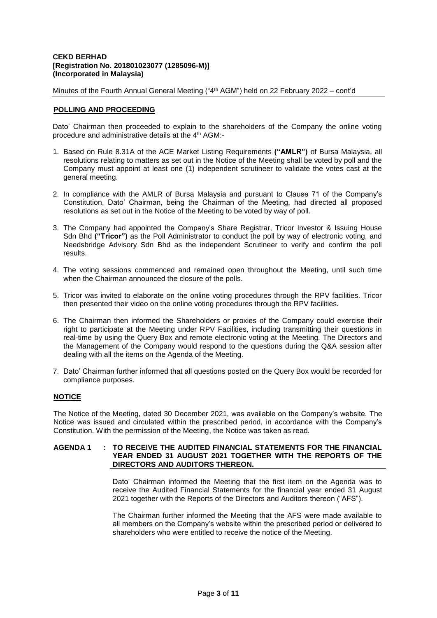Minutes of the Fourth Annual General Meeting ("4th AGM") held on 22 February 2022 – cont'd

# **POLLING AND PROCEEDING**

Dato' Chairman then proceeded to explain to the shareholders of the Company the online voting procedure and administrative details at the 4th AGM:-

- 1. Based on Rule 8.31A of the ACE Market Listing Requirements **("AMLR")** of Bursa Malaysia, all resolutions relating to matters as set out in the Notice of the Meeting shall be voted by poll and the Company must appoint at least one (1) independent scrutineer to validate the votes cast at the general meeting.
- 2. In compliance with the AMLR of Bursa Malaysia and pursuant to Clause 71 of the Company's Constitution, Dato' Chairman, being the Chairman of the Meeting, had directed all proposed resolutions as set out in the Notice of the Meeting to be voted by way of poll.
- 3. The Company had appointed the Company's Share Registrar, Tricor Investor & Issuing House Sdn Bhd **("Tricor")** as the Poll Administrator to conduct the poll by way of electronic voting, and Needsbridge Advisory Sdn Bhd as the independent Scrutineer to verify and confirm the poll results.
- 4. The voting sessions commenced and remained open throughout the Meeting, until such time when the Chairman announced the closure of the polls.
- 5. Tricor was invited to elaborate on the online voting procedures through the RPV facilities. Tricor then presented their video on the online voting procedures through the RPV facilities.
- 6. The Chairman then informed the Shareholders or proxies of the Company could exercise their right to participate at the Meeting under RPV Facilities, including transmitting their questions in real-time by using the Query Box and remote electronic voting at the Meeting. The Directors and the Management of the Company would respond to the questions during the Q&A session after dealing with all the items on the Agenda of the Meeting.
- 7. Dato' Chairman further informed that all questions posted on the Query Box would be recorded for compliance purposes.

# **NOTICE**

The Notice of the Meeting, dated 30 December 2021, was available on the Company's website. The Notice was issued and circulated within the prescribed period, in accordance with the Company's Constitution. With the permission of the Meeting, the Notice was taken as read.

## **AGENDA 1 : TO RECEIVE THE AUDITED FINANCIAL STATEMENTS FOR THE FINANCIAL YEAR ENDED 31 AUGUST 2021 TOGETHER WITH THE REPORTS OF THE DIRECTORS AND AUDITORS THEREON.**

Dato' Chairman informed the Meeting that the first item on the Agenda was to receive the Audited Financial Statements for the financial year ended 31 August 2021 together with the Reports of the Directors and Auditors thereon ("AFS").

The Chairman further informed the Meeting that the AFS were made available to all members on the Company's website within the prescribed period or delivered to shareholders who were entitled to receive the notice of the Meeting.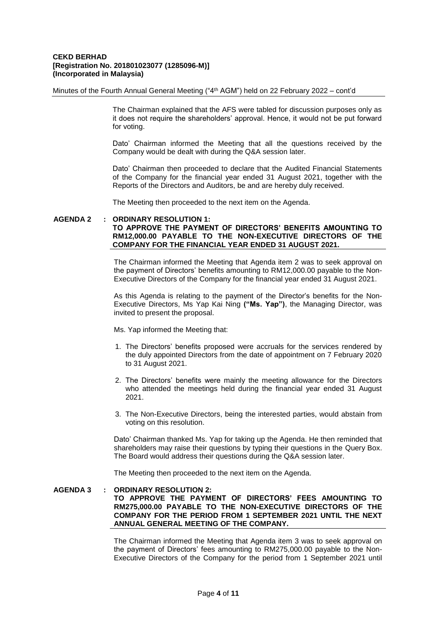Minutes of the Fourth Annual General Meeting ("4th AGM") held on 22 February 2022 – cont'd

The Chairman explained that the AFS were tabled for discussion purposes only as it does not require the shareholders' approval. Hence, it would not be put forward for voting.

Dato' Chairman informed the Meeting that all the questions received by the Company would be dealt with during the Q&A session later.

Dato' Chairman then proceeded to declare that the Audited Financial Statements of the Company for the financial year ended 31 August 2021, together with the Reports of the Directors and Auditors, be and are hereby duly received.

The Meeting then proceeded to the next item on the Agenda.

## **AGENDA 2 : ORDINARY RESOLUTION 1: TO APPROVE THE PAYMENT OF DIRECTORS' BENEFITS AMOUNTING TO RM12,000.00 PAYABLE TO THE NON-EXECUTIVE DIRECTORS OF THE COMPANY FOR THE FINANCIAL YEAR ENDED 31 AUGUST 2021.**

The Chairman informed the Meeting that Agenda item 2 was to seek approval on the payment of Directors' benefits amounting to RM12,000.00 payable to the Non-Executive Directors of the Company for the financial year ended 31 August 2021.

As this Agenda is relating to the payment of the Director's benefits for the Non-Executive Directors, Ms Yap Kai Ning **("Ms. Yap")**, the Managing Director, was invited to present the proposal.

Ms. Yap informed the Meeting that:

- 1. The Directors' benefits proposed were accruals for the services rendered by the duly appointed Directors from the date of appointment on 7 February 2020 to 31 August 2021.
- 2. The Directors' benefits were mainly the meeting allowance for the Directors who attended the meetings held during the financial year ended 31 August 2021.
- 3. The Non-Executive Directors, being the interested parties, would abstain from voting on this resolution.

Dato' Chairman thanked Ms. Yap for taking up the Agenda. He then reminded that shareholders may raise their questions by typing their questions in the Query Box. The Board would address their questions during the Q&A session later.

The Meeting then proceeded to the next item on the Agenda.

#### **AGENDA 3 : ORDINARY RESOLUTION 2:**

**TO APPROVE THE PAYMENT OF DIRECTORS' FEES AMOUNTING TO RM275,000.00 PAYABLE TO THE NON-EXECUTIVE DIRECTORS OF THE COMPANY FOR THE PERIOD FROM 1 SEPTEMBER 2021 UNTIL THE NEXT ANNUAL GENERAL MEETING OF THE COMPANY.**

The Chairman informed the Meeting that Agenda item 3 was to seek approval on the payment of Directors' fees amounting to RM275,000.00 payable to the Non-Executive Directors of the Company for the period from 1 September 2021 until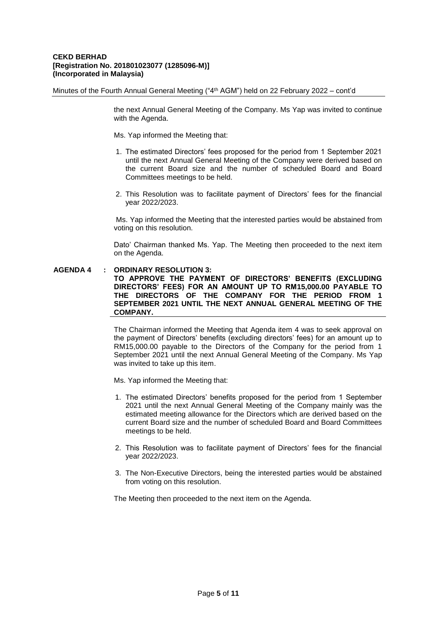Minutes of the Fourth Annual General Meeting ("4th AGM") held on 22 February 2022 – cont'd

the next Annual General Meeting of the Company. Ms Yap was invited to continue with the Agenda.

Ms. Yap informed the Meeting that:

- 1. The estimated Directors' fees proposed for the period from 1 September 2021 until the next Annual General Meeting of the Company were derived based on the current Board size and the number of scheduled Board and Board Committees meetings to be held.
- 2. This Resolution was to facilitate payment of Directors' fees for the financial year 2022/2023.

Ms. Yap informed the Meeting that the interested parties would be abstained from voting on this resolution.

Dato' Chairman thanked Ms. Yap. The Meeting then proceeded to the next item on the Agenda.

# **AGENDA 4 : ORDINARY RESOLUTION 3:**

**TO APPROVE THE PAYMENT OF DIRECTORS' BENEFITS (EXCLUDING DIRECTORS' FEES) FOR AN AMOUNT UP TO RM15,000.00 PAYABLE TO THE DIRECTORS OF THE COMPANY FOR THE PERIOD FROM 1 SEPTEMBER 2021 UNTIL THE NEXT ANNUAL GENERAL MEETING OF THE COMPANY.**

The Chairman informed the Meeting that Agenda item 4 was to seek approval on the payment of Directors' benefits (excluding directors' fees) for an amount up to RM15,000.00 payable to the Directors of the Company for the period from 1 September 2021 until the next Annual General Meeting of the Company. Ms Yap was invited to take up this item.

Ms. Yap informed the Meeting that:

- 1. The estimated Directors' benefits proposed for the period from 1 September 2021 until the next Annual General Meeting of the Company mainly was the estimated meeting allowance for the Directors which are derived based on the current Board size and the number of scheduled Board and Board Committees meetings to be held.
- 2. This Resolution was to facilitate payment of Directors' fees for the financial year 2022/2023.
- 3. The Non-Executive Directors, being the interested parties would be abstained from voting on this resolution.

The Meeting then proceeded to the next item on the Agenda.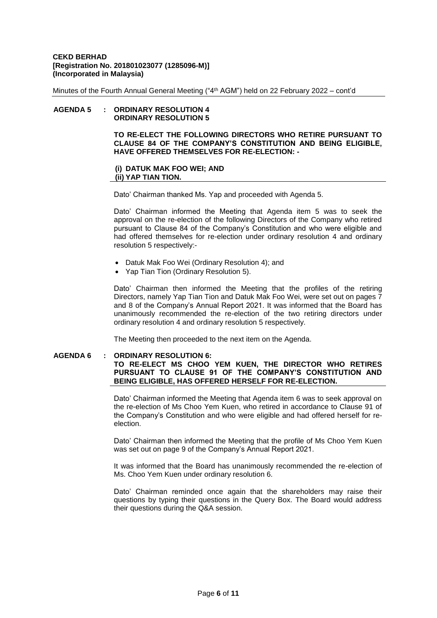Minutes of the Fourth Annual General Meeting ("4th AGM") held on 22 February 2022 – cont'd

# **AGENDA 5 : ORDINARY RESOLUTION 4 ORDINARY RESOLUTION 5**

**TO RE-ELECT THE FOLLOWING DIRECTORS WHO RETIRE PURSUANT TO CLAUSE 84 OF THE COMPANY'S CONSTITUTION AND BEING ELIGIBLE, HAVE OFFERED THEMSELVES FOR RE-ELECTION: -**

# **(i) DATUK MAK FOO WEI; AND (ii) YAP TIAN TION.**

Dato' Chairman thanked Ms. Yap and proceeded with Agenda 5.

Dato' Chairman informed the Meeting that Agenda item 5 was to seek the approval on the re-election of the following Directors of the Company who retired pursuant to Clause 84 of the Company's Constitution and who were eligible and had offered themselves for re-election under ordinary resolution 4 and ordinary resolution 5 respectively:-

- Datuk Mak Foo Wei (Ordinary Resolution 4); and
- Yap Tian Tion (Ordinary Resolution 5).

Dato' Chairman then informed the Meeting that the profiles of the retiring Directors, namely Yap Tian Tion and Datuk Mak Foo Wei, were set out on pages 7 and 8 of the Company's Annual Report 2021. It was informed that the Board has unanimously recommended the re-election of the two retiring directors under ordinary resolution 4 and ordinary resolution 5 respectively.

The Meeting then proceeded to the next item on the Agenda.

#### **AGENDA 6 : ORDINARY RESOLUTION 6: TO RE-ELECT MS CHOO YEM KUEN, THE DIRECTOR WHO RETIRES PURSUANT TO CLAUSE 91 OF THE COMPANY'S CONSTITUTION AND BEING ELIGIBLE, HAS OFFERED HERSELF FOR RE-ELECTION.**

Dato' Chairman informed the Meeting that Agenda item 6 was to seek approval on the re-election of Ms Choo Yem Kuen, who retired in accordance to Clause 91 of the Company's Constitution and who were eligible and had offered herself for reelection.

Dato' Chairman then informed the Meeting that the profile of Ms Choo Yem Kuen was set out on page 9 of the Company's Annual Report 2021.

It was informed that the Board has unanimously recommended the re-election of Ms. Choo Yem Kuen under ordinary resolution 6.

Dato' Chairman reminded once again that the shareholders may raise their questions by typing their questions in the Query Box. The Board would address their questions during the Q&A session.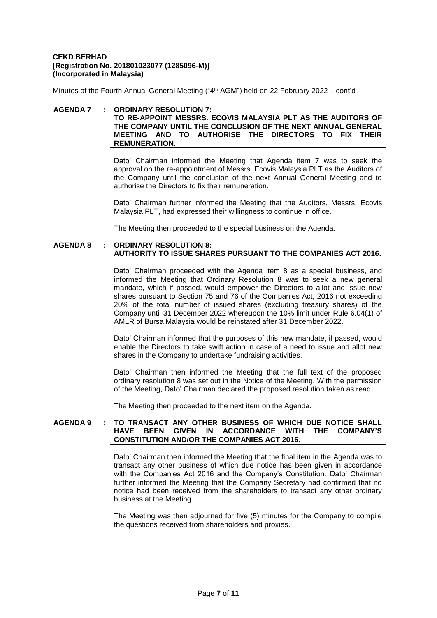Minutes of the Fourth Annual General Meeting ("4th AGM") held on 22 February 2022 – cont'd

# **AGENDA 7 : ORDINARY RESOLUTION 7:**

# **TO RE-APPOINT MESSRS. ECOVIS MALAYSIA PLT AS THE AUDITORS OF THE COMPANY UNTIL THE CONCLUSION OF THE NEXT ANNUAL GENERAL MEETING AND TO AUTHORISE THE DIRECTORS TO FIX THEIR REMUNERATION.**

Dato' Chairman informed the Meeting that Agenda item 7 was to seek the approval on the re-appointment of Messrs. Ecovis Malaysia PLT as the Auditors of the Company until the conclusion of the next Annual General Meeting and to authorise the Directors to fix their remuneration.

Dato' Chairman further informed the Meeting that the Auditors, Messrs. Ecovis Malaysia PLT, had expressed their willingness to continue in office.

The Meeting then proceeded to the special business on the Agenda.

## **AGENDA 8 : ORDINARY RESOLUTION 8: AUTHORITY TO ISSUE SHARES PURSUANT TO THE COMPANIES ACT 2016.**

Dato' Chairman proceeded with the Agenda item 8 as a special business, and informed the Meeting that Ordinary Resolution 8 was to seek a new general mandate, which if passed, would empower the Directors to allot and issue new shares pursuant to Section 75 and 76 of the Companies Act, 2016 not exceeding 20% of the total number of issued shares (excluding treasury shares) of the Company until 31 December 2022 whereupon the 10% limit under Rule 6.04(1) of AMLR of Bursa Malaysia would be reinstated after 31 December 2022.

Dato' Chairman informed that the purposes of this new mandate, if passed, would enable the Directors to take swift action in case of a need to issue and allot new shares in the Company to undertake fundraising activities.

Dato' Chairman then informed the Meeting that the full text of the proposed ordinary resolution 8 was set out in the Notice of the Meeting. With the permission of the Meeting, Dato' Chairman declared the proposed resolution taken as read.

The Meeting then proceeded to the next item on the Agenda.

# **AGENDA 9 : TO TRANSACT ANY OTHER BUSINESS OF WHICH DUE NOTICE SHALL HAVE BEEN GIVEN IN ACCORDANCE WITH THE COMPANY'S CONSTITUTION AND/OR THE COMPANIES ACT 2016.**

Dato' Chairman then informed the Meeting that the final item in the Agenda was to transact any other business of which due notice has been given in accordance with the Companies Act 2016 and the Company's Constitution. Dato' Chairman further informed the Meeting that the Company Secretary had confirmed that no notice had been received from the shareholders to transact any other ordinary business at the Meeting.

The Meeting was then adjourned for five (5) minutes for the Company to compile the questions received from shareholders and proxies.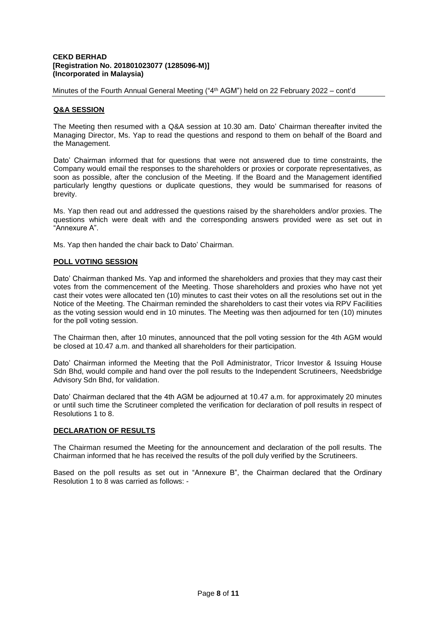Minutes of the Fourth Annual General Meeting ("4th AGM") held on 22 February 2022 – cont'd

# **Q&A SESSION**

The Meeting then resumed with a Q&A session at 10.30 am. Dato' Chairman thereafter invited the Managing Director, Ms. Yap to read the questions and respond to them on behalf of the Board and the Management.

Dato' Chairman informed that for questions that were not answered due to time constraints, the Company would email the responses to the shareholders or proxies or corporate representatives, as soon as possible, after the conclusion of the Meeting. If the Board and the Management identified particularly lengthy questions or duplicate questions, they would be summarised for reasons of brevity.

Ms. Yap then read out and addressed the questions raised by the shareholders and/or proxies. The questions which were dealt with and the corresponding answers provided were as set out in "Annexure A".

Ms. Yap then handed the chair back to Dato' Chairman.

# **POLL VOTING SESSION**

Dato' Chairman thanked Ms. Yap and informed the shareholders and proxies that they may cast their votes from the commencement of the Meeting. Those shareholders and proxies who have not yet cast their votes were allocated ten (10) minutes to cast their votes on all the resolutions set out in the Notice of the Meeting. The Chairman reminded the shareholders to cast their votes via RPV Facilities as the voting session would end in 10 minutes. The Meeting was then adjourned for ten (10) minutes for the poll voting session.

The Chairman then, after 10 minutes, announced that the poll voting session for the 4th AGM would be closed at 10.47 a.m. and thanked all shareholders for their participation.

Dato' Chairman informed the Meeting that the Poll Administrator, Tricor Investor & Issuing House Sdn Bhd, would compile and hand over the poll results to the Independent Scrutineers, Needsbridge Advisory Sdn Bhd, for validation.

Dato' Chairman declared that the 4th AGM be adjourned at 10.47 a.m. for approximately 20 minutes or until such time the Scrutineer completed the verification for declaration of poll results in respect of Resolutions 1 to 8.

# **DECLARATION OF RESULTS**

The Chairman resumed the Meeting for the announcement and declaration of the poll results. The Chairman informed that he has received the results of the poll duly verified by the Scrutineers.

Based on the poll results as set out in "Annexure B", the Chairman declared that the Ordinary Resolution 1 to 8 was carried as follows: -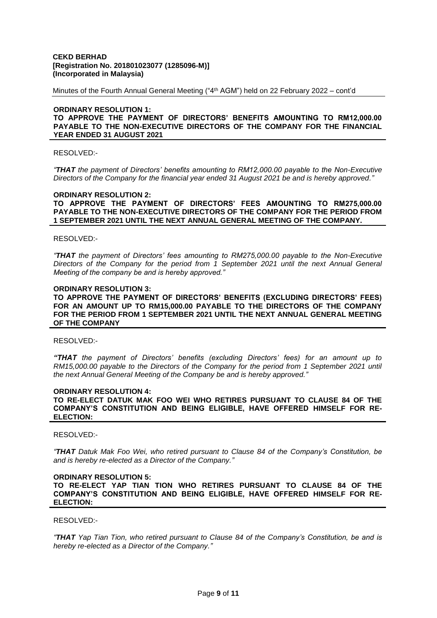Minutes of the Fourth Annual General Meeting ("4th AGM") held on 22 February 2022 – cont'd

## **ORDINARY RESOLUTION 1: TO APPROVE THE PAYMENT OF DIRECTORS' BENEFITS AMOUNTING TO RM12,000.00 PAYABLE TO THE NON-EXECUTIVE DIRECTORS OF THE COMPANY FOR THE FINANCIAL YEAR ENDED 31 AUGUST 2021**

# RESOLVED:-

*"THAT the payment of Directors' benefits amounting to RM12,000.00 payable to the Non-Executive Directors of the Company for the financial year ended 31 August 2021 be and is hereby approved."*

#### **ORDINARY RESOLUTION 2:**

**TO APPROVE THE PAYMENT OF DIRECTORS' FEES AMOUNTING TO RM275,000.00 PAYABLE TO THE NON-EXECUTIVE DIRECTORS OF THE COMPANY FOR THE PERIOD FROM 1 SEPTEMBER 2021 UNTIL THE NEXT ANNUAL GENERAL MEETING OF THE COMPANY.**

#### RESOLVED:-

*"THAT the payment of Directors' fees amounting to RM275,000.00 payable to the Non-Executive Directors of the Company for the period from 1 September 2021 until the next Annual General Meeting of the company be and is hereby approved."*

#### **ORDINARY RESOLUTION 3:**

**TO APPROVE THE PAYMENT OF DIRECTORS' BENEFITS (EXCLUDING DIRECTORS' FEES) FOR AN AMOUNT UP TO RM15,000.00 PAYABLE TO THE DIRECTORS OF THE COMPANY FOR THE PERIOD FROM 1 SEPTEMBER 2021 UNTIL THE NEXT ANNUAL GENERAL MEETING OF THE COMPANY**

# RESOLVED:-

*"THAT the payment of Directors' benefits (excluding Directors' fees) for an amount up to RM15,000.00 payable to the Directors of the Company for the period from 1 September 2021 until the next Annual General Meeting of the Company be and is hereby approved."*

#### **ORDINARY RESOLUTION 4:**

**TO RE-ELECT DATUK MAK FOO WEI WHO RETIRES PURSUANT TO CLAUSE 84 OF THE COMPANY'S CONSTITUTION AND BEING ELIGIBLE, HAVE OFFERED HIMSELF FOR RE-ELECTION:** 

#### RESOLVED:-

*"THAT Datuk Mak Foo Wei, who retired pursuant to Clause 84 of the Company's Constitution, be and is hereby re-elected as a Director of the Company."*

#### **ORDINARY RESOLUTION 5:**

**TO RE-ELECT YAP TIAN TION WHO RETIRES PURSUANT TO CLAUSE 84 OF THE COMPANY'S CONSTITUTION AND BEING ELIGIBLE, HAVE OFFERED HIMSELF FOR RE-ELECTION:** 

#### RESOLVED:-

*"THAT Yap Tian Tion, who retired pursuant to Clause 84 of the Company's Constitution, be and is hereby re-elected as a Director of the Company."*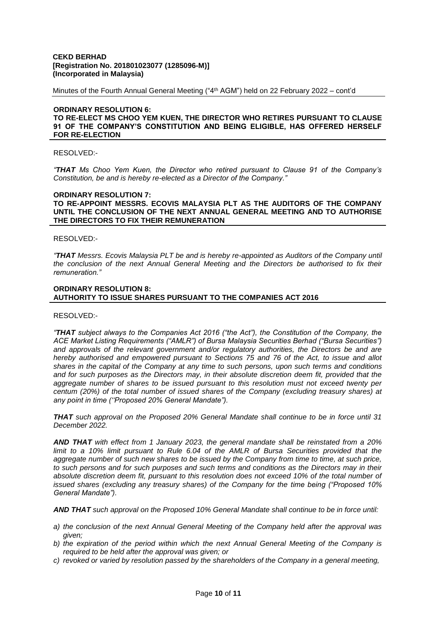Minutes of the Fourth Annual General Meeting ("4th AGM") held on 22 February 2022 – cont'd

# **ORDINARY RESOLUTION 6: TO RE-ELECT MS CHOO YEM KUEN, THE DIRECTOR WHO RETIRES PURSUANT TO CLAUSE 91 OF THE COMPANY'S CONSTITUTION AND BEING ELIGIBLE, HAS OFFERED HERSELF FOR RE-ELECTION**

# RESOLVED:-

*"THAT Ms Choo Yem Kuen, the Director who retired pursuant to Clause 91 of the Company's Constitution, be and is hereby re-elected as a Director of the Company."*

#### **ORDINARY RESOLUTION 7:**

## **TO RE-APPOINT MESSRS. ECOVIS MALAYSIA PLT AS THE AUDITORS OF THE COMPANY UNTIL THE CONCLUSION OF THE NEXT ANNUAL GENERAL MEETING AND TO AUTHORISE THE DIRECTORS TO FIX THEIR REMUNERATION**

#### RESOLVED:-

*"THAT Messrs. Ecovis Malaysia PLT be and is hereby re-appointed as Auditors of the Company until the conclusion of the next Annual General Meeting and the Directors be authorised to fix their remuneration."*

# **ORDINARY RESOLUTION 8: AUTHORITY TO ISSUE SHARES PURSUANT TO THE COMPANIES ACT 2016**

#### RESOLVED:-

*"THAT subject always to the Companies Act 2016 ("the Act"), the Constitution of the Company, the ACE Market Listing Requirements ("AMLR") of Bursa Malaysia Securities Berhad ("Bursa Securities") and approvals of the relevant government and/or regulatory authorities, the Directors be and are hereby authorised and empowered pursuant to Sections 75 and 76 of the Act, to issue and allot shares in the capital of the Company at any time to such persons, upon such terms and conditions and for such purposes as the Directors may, in their absolute discretion deem fit, provided that the aggregate number of shares to be issued pursuant to this resolution must not exceed twenty per centum (20%) of the total number of issued shares of the Company (excluding treasury shares) at any point in time (''Proposed 20% General Mandate").*

*THAT such approval on the Proposed 20% General Mandate shall continue to be in force until 31 December 2022.*

*AND THAT with effect from 1 January 2023, the general mandate shall be reinstated from a 20%*  limit to a 10% limit pursuant to Rule 6.04 of the AMLR of Bursa Securities provided that the *aggregate number of such new shares to be issued by the Company from time to time, at such price, to such persons and for such purposes and such terms and conditions as the Directors may in their absolute discretion deem fit, pursuant to this resolution does not exceed 10% of the total number of issued shares (excluding any treasury shares) of the Company for the time being ("Proposed 10% General Mandate").*

*AND THAT such approval on the Proposed 10% General Mandate shall continue to be in force until:*

- *a) the conclusion of the next Annual General Meeting of the Company held after the approval was given;*
- *b) the expiration of the period within which the next Annual General Meeting of the Company is required to be held after the approval was given; or*
- *c) revoked or varied by resolution passed by the shareholders of the Company in a general meeting,*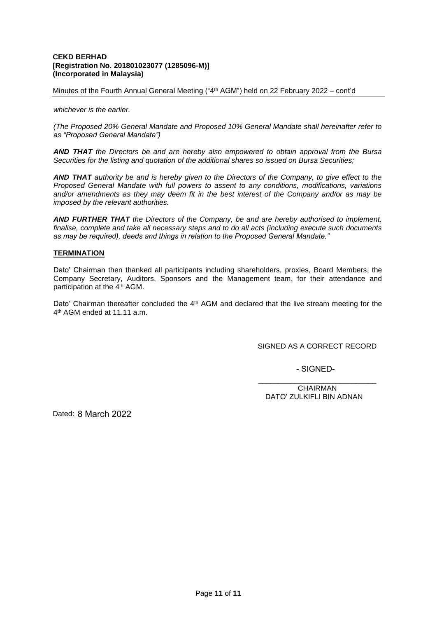Minutes of the Fourth Annual General Meeting ("4th AGM") held on 22 February 2022 – cont'd

*whichever is the earlier.*

*(The Proposed 20% General Mandate and Proposed 10% General Mandate shall hereinafter refer to as "Proposed General Mandate")*

*AND THAT the Directors be and are hereby also empowered to obtain approval from the Bursa Securities for the listing and quotation of the additional shares so issued on Bursa Securities;* 

*AND THAT authority be and is hereby given to the Directors of the Company, to give effect to the Proposed General Mandate with full powers to assent to any conditions, modifications, variations and/or amendments as they may deem fit in the best interest of the Company and/or as may be imposed by the relevant authorities.*

*AND FURTHER THAT the Directors of the Company, be and are hereby authorised to implement, finalise, complete and take all necessary steps and to do all acts (including execute such documents as may be required), deeds and things in relation to the Proposed General Mandate."*

# **TERMINATION**

Dato' Chairman then thanked all participants including shareholders, proxies, Board Members, the Company Secretary, Auditors, Sponsors and the Management team, for their attendance and participation at the 4<sup>th</sup> AGM.

Dato' Chairman thereafter concluded the 4<sup>th</sup> AGM and declared that the live stream meeting for the 4 th AGM ended at 11.11 a.m.

SIGNED AS A CORRECT RECORD

- SIGNED-

\_\_\_\_\_\_\_\_\_\_\_\_\_\_\_\_\_\_\_\_\_\_\_\_\_\_\_\_\_ CHAIRMAN DATO' ZULKIFLI BIN ADNAN

Dated: 8 March 2022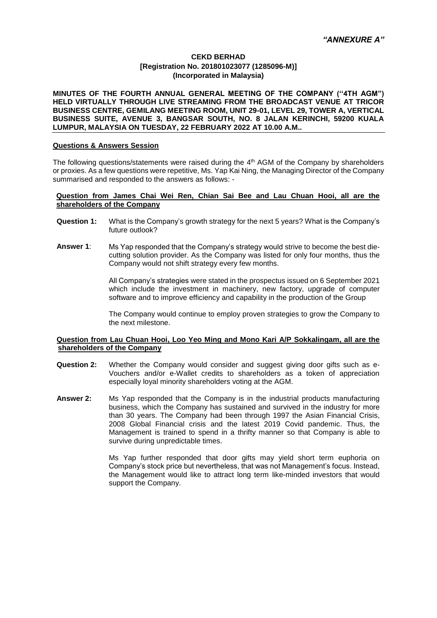**MINUTES OF THE FOURTH ANNUAL GENERAL MEETING OF THE COMPANY (''4TH AGM") HELD VIRTUALLY THROUGH LIVE STREAMING FROM THE BROADCAST VENUE AT TRICOR BUSINESS CENTRE, GEMILANG MEETING ROOM, UNIT 29-01, LEVEL 29, TOWER A, VERTICAL BUSINESS SUITE, AVENUE 3, BANGSAR SOUTH, NO. 8 JALAN KERINCHI, 59200 KUALA LUMPUR, MALAYSIA ON TUESDAY, 22 FEBRUARY 2022 AT 10.00 A.M..**

# **Questions & Answers Session**

The following questions/statements were raised during the  $4<sup>th</sup>$  AGM of the Company by shareholders or proxies. As a few questions were repetitive, Ms. Yap Kai Ning, the Managing Director of the Company summarised and responded to the answers as follows: -

#### **Question from James Chai Wei Ren, Chian Sai Bee and Lau Chuan Hooi, all are the shareholders of the Company**

- **Question 1:** What is the Company's growth strategy for the next 5 years? What is the Company's future outlook?
- **Answer 1**: Ms Yap responded that the Company's strategy would strive to become the best diecutting solution provider. As the Company was listed for only four months, thus the Company would not shift strategy every few months.

All Company's strategies were stated in the prospectus issued on 6 September 2021 which include the investment in machinery, new factory, upgrade of computer software and to improve efficiency and capability in the production of the Group

The Company would continue to employ proven strategies to grow the Company to the next milestone.

# **Question from Lau Chuan Hooi, Loo Yeo Ming and Mono Kari A/P Sokkalingam, all are the shareholders of the Company**

- **Question 2:** Whether the Company would consider and suggest giving door gifts such as e-Vouchers and/or e-Wallet credits to shareholders as a token of appreciation especially loyal minority shareholders voting at the AGM.
- **Answer 2:** Ms Yap responded that the Company is in the industrial products manufacturing business, which the Company has sustained and survived in the industry for more than 30 years. The Company had been through 1997 the Asian Financial Crisis, 2008 Global Financial crisis and the latest 2019 Covid pandemic. Thus, the Management is trained to spend in a thrifty manner so that Company is able to survive during unpredictable times.

Ms Yap further responded that door gifts may yield short term euphoria on Company's stock price but nevertheless, that was not Management's focus. Instead, the Management would like to attract long term like-minded investors that would support the Company.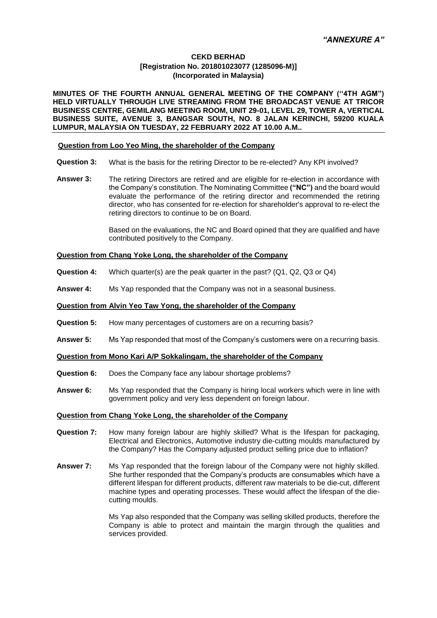**MINUTES OF THE FOURTH ANNUAL GENERAL MEETING OF THE COMPANY (''4TH AGM") HELD VIRTUALLY THROUGH LIVE STREAMING FROM THE BROADCAST VENUE AT TRICOR BUSINESS CENTRE, GEMILANG MEETING ROOM, UNIT 29-01, LEVEL 29, TOWER A, VERTICAL BUSINESS SUITE, AVENUE 3, BANGSAR SOUTH, NO. 8 JALAN KERINCHI, 59200 KUALA LUMPUR, MALAYSIA ON TUESDAY, 22 FEBRUARY 2022 AT 10.00 A.M..**

# **Question from Loo Yeo Ming, the shareholder of the Company**

- **Question 3:** What is the basis for the retiring Director to be re-elected? Any KPI involved?
- **Answer 3:** The retiring Directors are retired and are eligible for re-election in accordance with the Company's constitution. The Nominating Committee **("NC")** and the board would evaluate the performance of the retiring director and recommended the retiring director, who has consented for re-election for shareholder's approval to re-elect the retiring directors to continue to be on Board.

Based on the evaluations, the NC and Board opined that they are qualified and have contributed positively to the Company.

# **Question from Chang Yoke Long, the shareholder of the Company**

- **Question 4:** Which quarter(s) are the peak quarter in the past? (Q1, Q2, Q3 or Q4)
- **Answer 4:** Ms Yap responded that the Company was not in a seasonal business.

## **Question from Alvin Yeo Taw Yong, the shareholder of the Company**

- **Question 5:** How many percentages of customers are on a recurring basis?
- **Answer 5:** Ms Yap responded that most of the Company's customers were on a recurring basis.

#### **Question from Mono Kari A/P Sokkalingam, the shareholder of the Company**

- **Question 6:** Does the Company face any labour shortage problems?
- **Answer 6:** Ms Yap responded that the Company is hiring local workers which were in line with government policy and very less dependent on foreign labour.

## **Question from Chang Yoke Long, the shareholder of the Company**

- **Question 7:** How many foreign labour are highly skilled? What is the lifespan for packaging, Electrical and Electronics, Automotive industry die-cutting moulds manufactured by the Company? Has the Company adjusted product selling price due to inflation?
- **Answer 7:** Ms Yap responded that the foreign labour of the Company were not highly skilled. She further responded that the Company's products are consumables which have a different lifespan for different products, different raw materials to be die-cut, different machine types and operating processes. These would affect the lifespan of the diecutting moulds.

Ms Yap also responded that the Company was selling skilled products, therefore the Company is able to protect and maintain the margin through the qualities and services provided.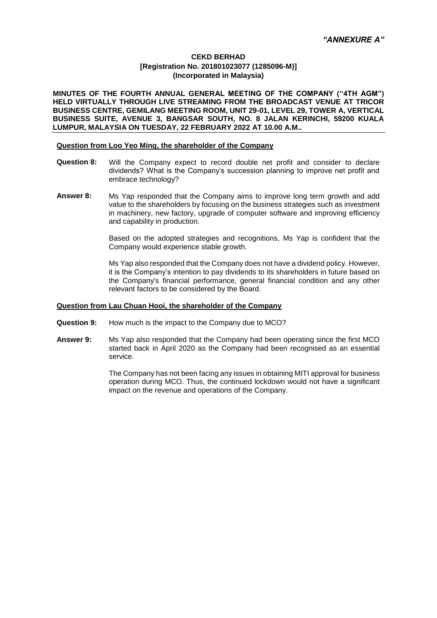**MINUTES OF THE FOURTH ANNUAL GENERAL MEETING OF THE COMPANY (''4TH AGM") HELD VIRTUALLY THROUGH LIVE STREAMING FROM THE BROADCAST VENUE AT TRICOR BUSINESS CENTRE, GEMILANG MEETING ROOM, UNIT 29-01, LEVEL 29, TOWER A, VERTICAL BUSINESS SUITE, AVENUE 3, BANGSAR SOUTH, NO. 8 JALAN KERINCHI, 59200 KUALA LUMPUR, MALAYSIA ON TUESDAY, 22 FEBRUARY 2022 AT 10.00 A.M..**

## **Question from Loo Yeo Ming, the shareholder of the Company**

- **Question 8:** Will the Company expect to record double net profit and consider to declare dividends? What is the Company's succession planning to improve net profit and embrace technology?
- **Answer 8:** Ms Yap responded that the Company aims to improve long term growth and add value to the shareholders by focusing on the business strategies such as investment in machinery, new factory, upgrade of computer software and improving efficiency and capability in production.

Based on the adopted strategies and recognitions, Ms Yap is confident that the Company would experience stable growth.

Ms Yap also responded that the Company does not have a dividend policy. However, it is the Company's intention to pay dividends to its shareholders in future based on the Company's financial performance, general financial condition and any other relevant factors to be considered by the Board.

# **Question from Lau Chuan Hooi, the shareholder of the Company**

- **Question 9:** How much is the impact to the Company due to MCO?
- **Answer 9:** Ms Yap also responded that the Company had been operating since the first MCO started back in April 2020 as the Company had been recognised as an essential service.

The Company has not been facing any issues in obtaining MITI approval for business operation during MCO. Thus, the continued lockdown would not have a significant impact on the revenue and operations of the Company.